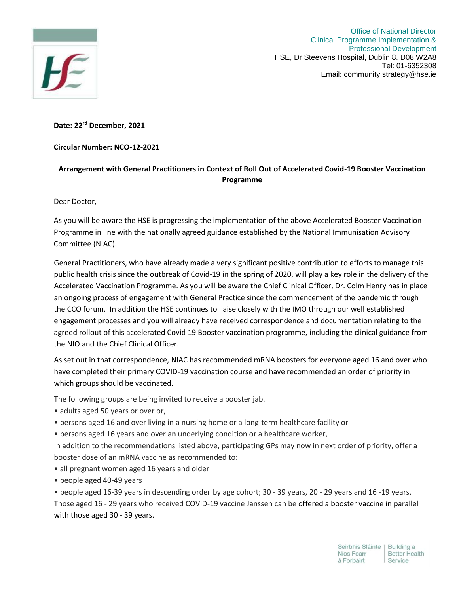

Office of National Director Clinical Programme Implementation & Professional Development HSE, Dr Steevens Hospital, Dublin 8. D08 W2A8 Tel: 01-6352308 Email: community.strategy@hse.ie

## **Date: 22rd December, 2021**

## **Circular Number: NCO-12-2021**

## **Arrangement with General Practitioners in Context of Roll Out of Accelerated Covid-19 Booster Vaccination Programme**

Dear Doctor,

As you will be aware the HSE is progressing the implementation of the above Accelerated Booster Vaccination Programme in line with the nationally agreed guidance established by the National Immunisation Advisory Committee (NIAC).

General Practitioners, who have already made a very significant positive contribution to efforts to manage this public health crisis since the outbreak of Covid-19 in the spring of 2020, will play a key role in the delivery of the Accelerated Vaccination Programme. As you will be aware the Chief Clinical Officer, Dr. Colm Henry has in place an ongoing process of engagement with General Practice since the commencement of the pandemic through the CCO forum. In addition the HSE continues to liaise closely with the IMO through our well established engagement processes and you will already have received correspondence and documentation relating to the agreed rollout of this accelerated Covid 19 Booster vaccination programme, including the clinical guidance from the NIO and the Chief Clinical Officer.

As set out in that correspondence, NIAC has recommended mRNA boosters for everyone aged 16 and over who have completed their primary COVID-19 vaccination course and have recommended an order of priority in which groups should be vaccinated.

The following groups are being invited to receive a booster jab.

- adults aged 50 years or over or,
- persons aged 16 and over living in a nursing home or a long-term healthcare facility or
- persons aged 16 years and over an underlying condition or a healthcare worker,

In addition to the recommendations listed above, participating GPs may now in next order of priority, offer a booster dose of an mRNA vaccine as recommended to:

- all pregnant women aged 16 years and older
- people aged 40-49 years
- people aged 16-39 years in descending order by age cohort; 30 39 years, 20 29 years and 16 -19 years.

Those aged 16 - 29 years who received COVID-19 vaccine Janssen can be offered a booster vaccine in parallel with those aged 30 - 39 years.